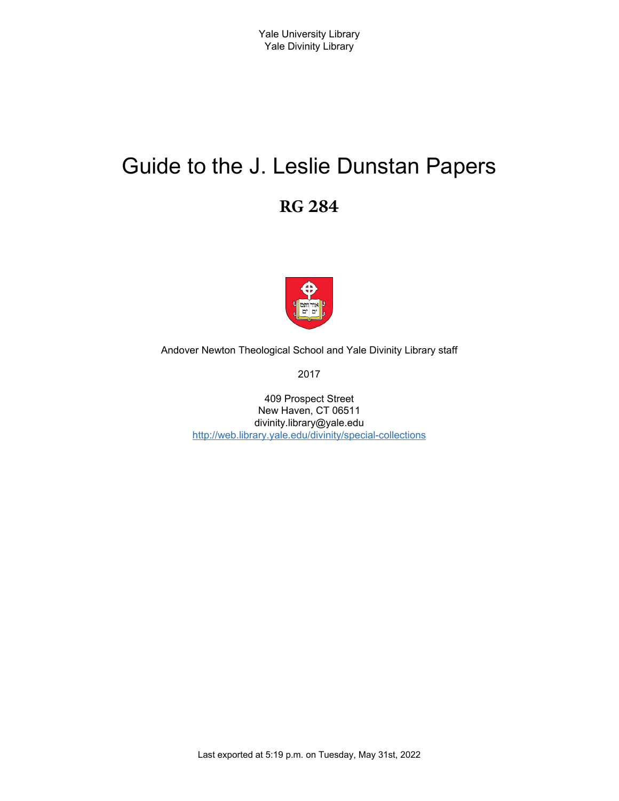# Guide to the J. Leslie Dunstan Papers **RG 284**



Andover Newton Theological School and Yale Divinity Library staff

2017

409 Prospect Street New Haven, CT 06511 divinity.library@yale.edu <http://web.library.yale.edu/divinity/special-collections>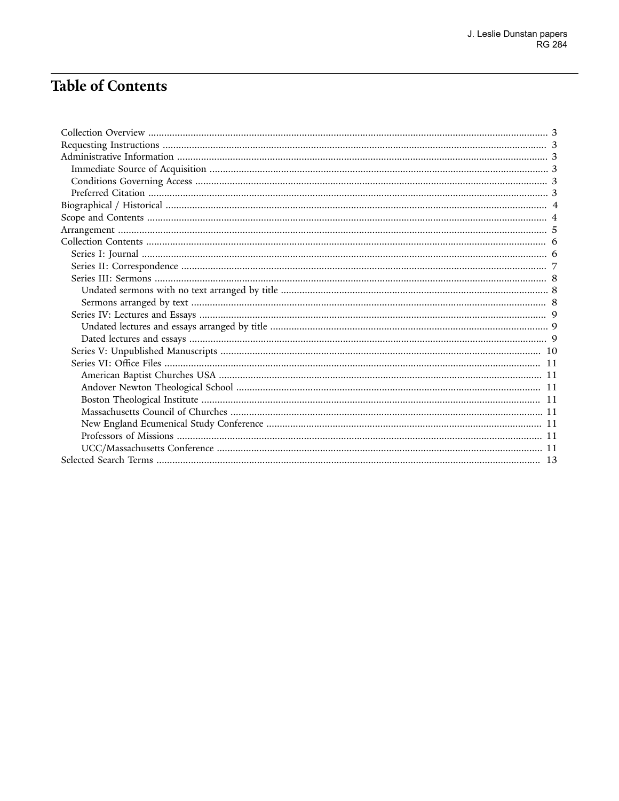# Table of Contents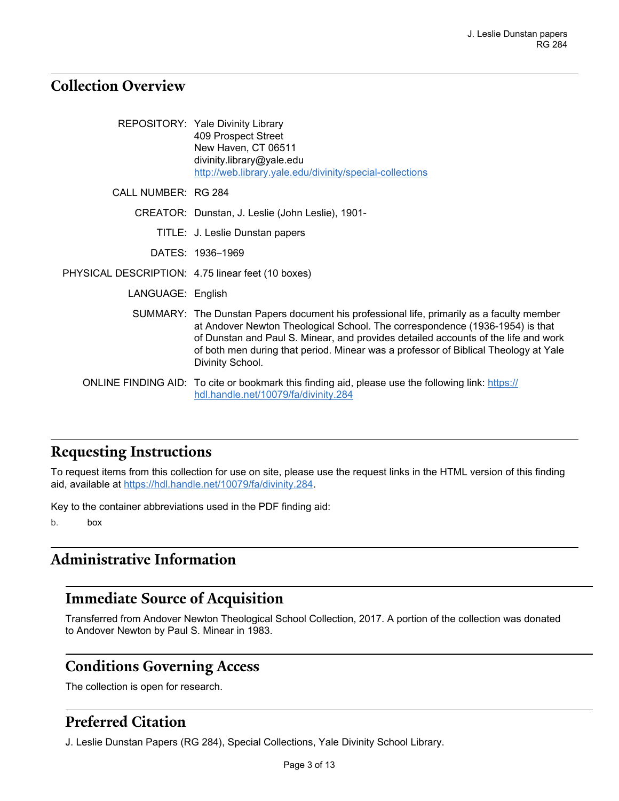### <span id="page-2-0"></span>**Collection Overview**

|                                                   | REPOSITORY: Yale Divinity Library<br>409 Prospect Street<br>New Haven, CT 06511<br>divinity.library@yale.edu<br>http://web.library.yale.edu/divinity/special-collections                                                                                                                                                                                                   |
|---------------------------------------------------|----------------------------------------------------------------------------------------------------------------------------------------------------------------------------------------------------------------------------------------------------------------------------------------------------------------------------------------------------------------------------|
| CALL NUMBER: RG 284                               |                                                                                                                                                                                                                                                                                                                                                                            |
|                                                   | CREATOR: Dunstan, J. Leslie (John Leslie), 1901-                                                                                                                                                                                                                                                                                                                           |
|                                                   | TITLE: J. Leslie Dunstan papers                                                                                                                                                                                                                                                                                                                                            |
|                                                   | DATES: 1936-1969                                                                                                                                                                                                                                                                                                                                                           |
| PHYSICAL DESCRIPTION: 4.75 linear feet (10 boxes) |                                                                                                                                                                                                                                                                                                                                                                            |
| LANGUAGE: English                                 |                                                                                                                                                                                                                                                                                                                                                                            |
|                                                   | SUMMARY: The Dunstan Papers document his professional life, primarily as a faculty member<br>at Andover Newton Theological School. The correspondence (1936-1954) is that<br>of Dunstan and Paul S. Minear, and provides detailed accounts of the life and work<br>of both men during that period. Minear was a professor of Biblical Theology at Yale<br>Divinity School. |
|                                                   | ONLINE FINDING AID: To cite or bookmark this finding aid, please use the following link: https://<br>hdl.handle.net/10079/fa/divinity.284                                                                                                                                                                                                                                  |

### <span id="page-2-1"></span>**Requesting Instructions**

To request items from this collection for use on site, please use the request links in the HTML version of this finding aid, available at [https://hdl.handle.net/10079/fa/divinity.284.](https://hdl.handle.net/10079/fa/divinity.284)

Key to the container abbreviations used in the PDF finding aid:

b. box

### <span id="page-2-2"></span>**Administrative Information**

#### <span id="page-2-3"></span>**Immediate Source of Acquisition**

Transferred from Andover Newton Theological School Collection, 2017. A portion of the collection was donated to Andover Newton by Paul S. Minear in 1983.

### <span id="page-2-4"></span>**Conditions Governing Access**

The collection is open for research.

### <span id="page-2-5"></span>**Preferred Citation**

J. Leslie Dunstan Papers (RG 284), Special Collections, Yale Divinity School Library.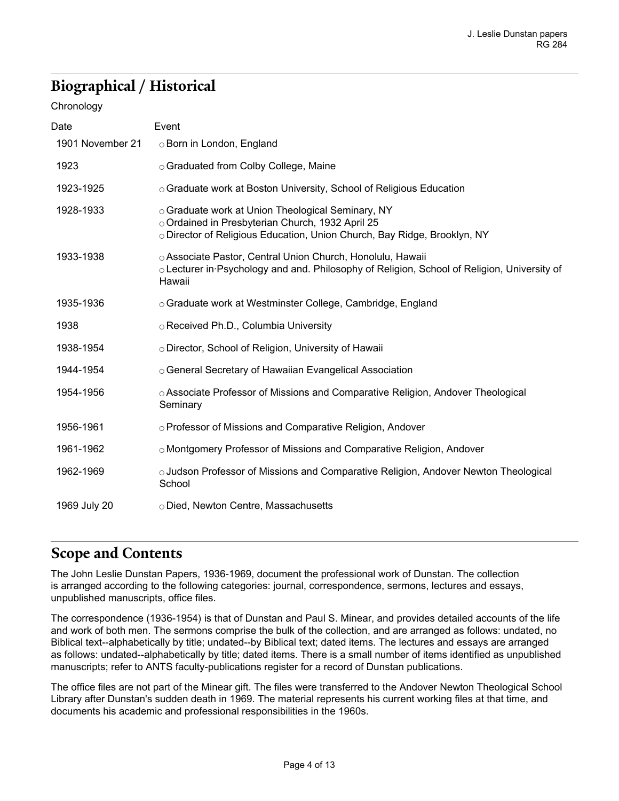# <span id="page-3-0"></span>**Biographical / Historical**

#### **Chronology**

| Date             | Event                                                                                                                                                                             |
|------------------|-----------------------------------------------------------------------------------------------------------------------------------------------------------------------------------|
| 1901 November 21 | ○ Born in London, England                                                                                                                                                         |
| 1923             | ○ Graduated from Colby College, Maine                                                                                                                                             |
| 1923-1925        | ○ Graduate work at Boston University, School of Religious Education                                                                                                               |
| 1928-1933        | ○ Graduate work at Union Theological Seminary, NY<br>o Ordained in Presbyterian Church, 1932 April 25<br>o Director of Religious Education, Union Church, Bay Ridge, Brooklyn, NY |
| 1933-1938        | o Associate Pastor, Central Union Church, Honolulu, Hawaii<br>○ Lecturer in Psychology and and. Philosophy of Religion, School of Religion, University of<br>Hawaii               |
| 1935-1936        | ○ Graduate work at Westminster College, Cambridge, England                                                                                                                        |
| 1938             | ○ Received Ph.D., Columbia University                                                                                                                                             |
| 1938-1954        | O Director, School of Religion, University of Hawaii                                                                                                                              |
| 1944-1954        | ○ General Secretary of Hawaiian Evangelical Association                                                                                                                           |
| 1954-1956        | ○ Associate Professor of Missions and Comparative Religion, Andover Theological<br>Seminary                                                                                       |
| 1956-1961        | ○ Professor of Missions and Comparative Religion, Andover                                                                                                                         |
| 1961-1962        | o Montgomery Professor of Missions and Comparative Religion, Andover                                                                                                              |
| 1962-1969        | ○ Judson Professor of Missions and Comparative Religion, Andover Newton Theological<br>School                                                                                     |
| 1969 July 20     | o Died, Newton Centre, Massachusetts                                                                                                                                              |

### <span id="page-3-1"></span>**Scope and Contents**

The John Leslie Dunstan Papers, 1936-1969, document the professional work of Dunstan. The collection is arranged according to the following categories: journal, correspondence, sermons, lectures and essays, unpublished manuscripts, office files.

The correspondence (1936-1954) is that of Dunstan and Paul S. Minear, and provides detailed accounts of the life and work of both men. The sermons comprise the bulk of the collection, and are arranged as follows: undated, no Biblical text--alphabetically by title; undated--by Biblical text; dated items. The lectures and essays are arranged as follows: undated--alphabetically by title; dated items. There is a small number of items identified as unpublished manuscripts; refer to ANTS faculty-publications register for a record of Dunstan publications.

The office files are not part of the Minear gift. The files were transferred to the Andover Newton Theological School Library after Dunstan's sudden death in 1969. The material represents his current working files at that time, and documents his academic and professional responsibilities in the 1960s.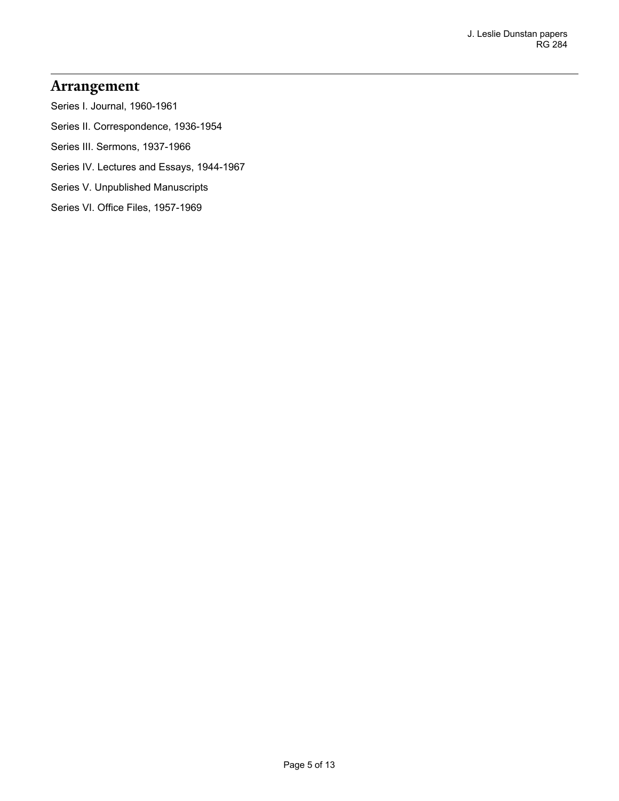#### <span id="page-4-0"></span>**Arrangement**

Series I. Journal, 1960-1961

Series II. Correspondence, 1936-1954

Series III. Sermons, 1937-1966

Series IV. Lectures and Essays, 1944-1967

Series V. Unpublished Manuscripts

Series VI. Office Files, 1957-1969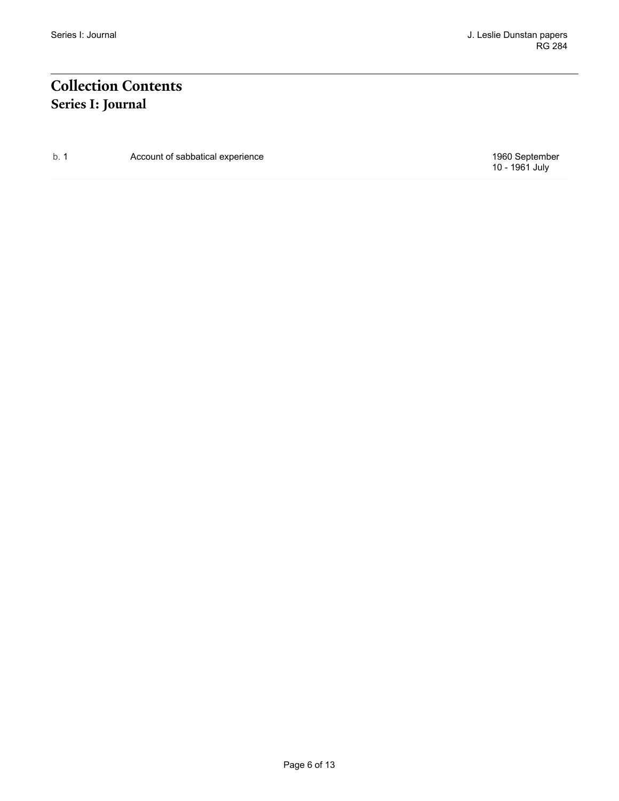# <span id="page-5-1"></span><span id="page-5-0"></span>**Collection Contents Series I: Journal**

b. 1 Account of sabbatical experience **1960** September

10 - 1961 July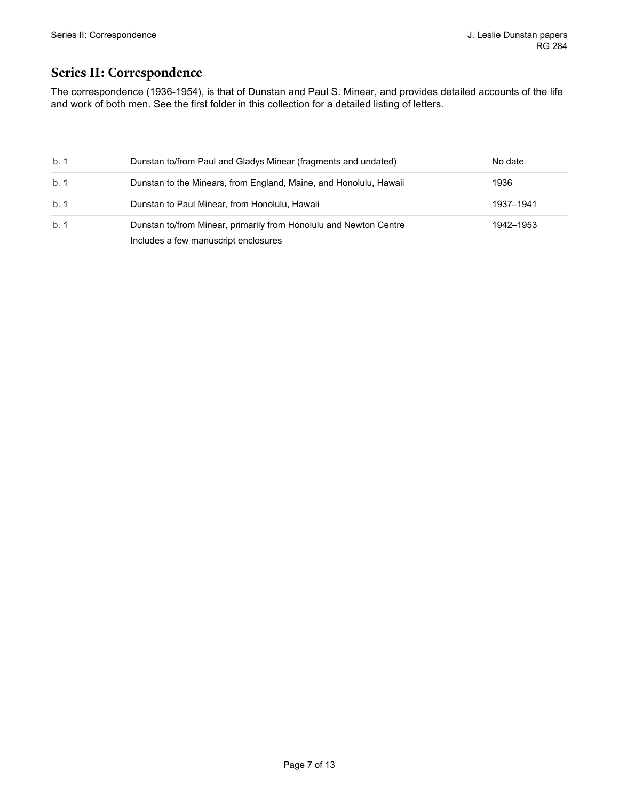#### <span id="page-6-0"></span>**Series II: Correspondence**

The correspondence (1936-1954), is that of Dunstan and Paul S. Minear, and provides detailed accounts of the life and work of both men. See the first folder in this collection for a detailed listing of letters.

| b. 1 | Dunstan to/from Paul and Gladys Minear (fragments and undated)                                            | No date   |
|------|-----------------------------------------------------------------------------------------------------------|-----------|
| b. 1 | Dunstan to the Minears, from England, Maine, and Honolulu, Hawaii                                         | 1936      |
| b.1  | Dunstan to Paul Minear, from Honolulu, Hawaii                                                             | 1937-1941 |
| b. 1 | Dunstan to/from Minear, primarily from Honolulu and Newton Centre<br>Includes a few manuscript enclosures | 1942–1953 |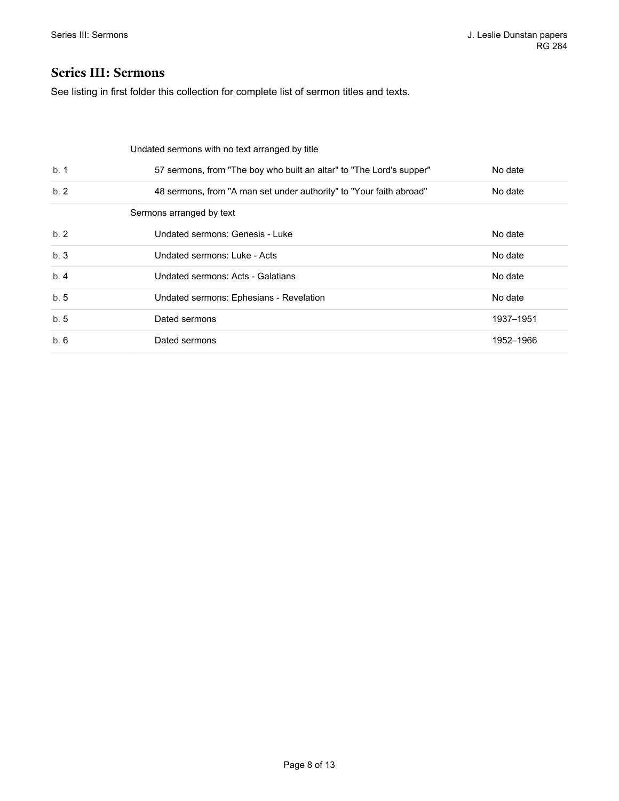#### <span id="page-7-0"></span>**Series III: Sermons**

See listing in first folder this collection for complete list of sermon titles and texts.

<span id="page-7-2"></span><span id="page-7-1"></span>

|     | Undated sermons with no text arranged by title                       |           |
|-----|----------------------------------------------------------------------|-----------|
| b.1 | 57 sermons, from "The boy who built an altar" to "The Lord's supper" | No date   |
| b.2 | 48 sermons, from "A man set under authority" to "Your faith abroad"  | No date   |
|     | Sermons arranged by text                                             |           |
| b.2 | Undated sermons: Genesis - Luke                                      | No date   |
| b.3 | Undated sermons: Luke - Acts                                         | No date   |
| b.4 | Undated sermons: Acts - Galatians                                    | No date   |
| b.5 | Undated sermons: Ephesians - Revelation                              | No date   |
| b.5 | Dated sermons                                                        | 1937-1951 |
| b.6 | Dated sermons                                                        | 1952-1966 |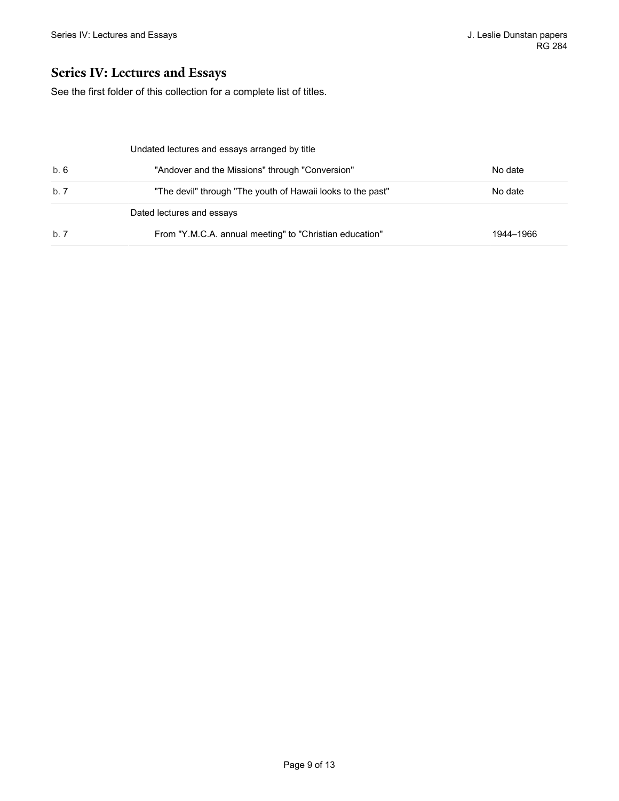#### <span id="page-8-0"></span>**Series IV: Lectures and Essays**

See the first folder of this collection for a complete list of titles.

<span id="page-8-2"></span><span id="page-8-1"></span>

|      | Undated lectures and essays arranged by title               |           |
|------|-------------------------------------------------------------|-----------|
| b. 6 | "Andover and the Missions" through "Conversion"             | No date   |
| b. 7 | "The devil" through "The youth of Hawaii looks to the past" | No date   |
|      | Dated lectures and essays                                   |           |
| b. 7 | From "Y.M.C.A. annual meeting" to "Christian education"     | 1944–1966 |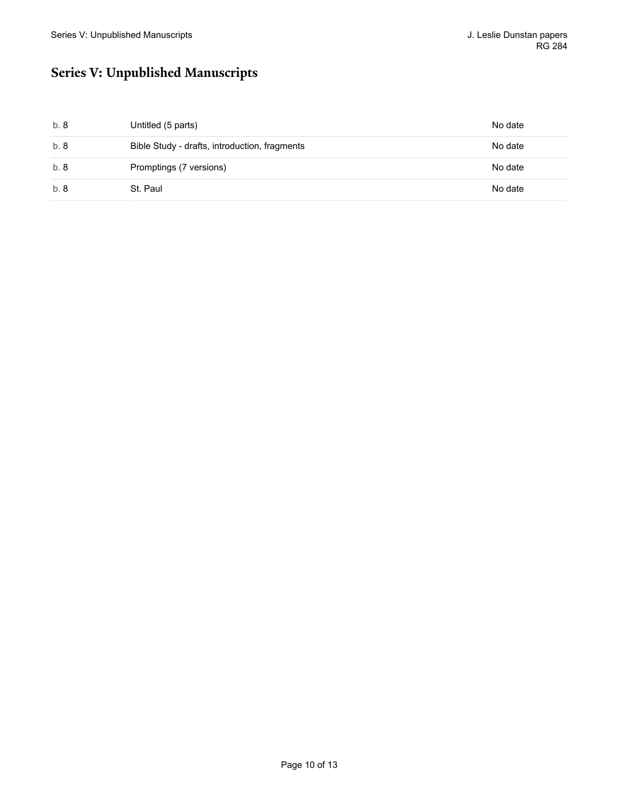# <span id="page-9-0"></span>**Series V: Unpublished Manuscripts**

| b. 8 | Untitled (5 parts)                            | No date |
|------|-----------------------------------------------|---------|
| b.8  | Bible Study - drafts, introduction, fragments | No date |
| b. 8 | Promptings (7 versions)                       | No date |
| b. 8 | St. Paul                                      | No date |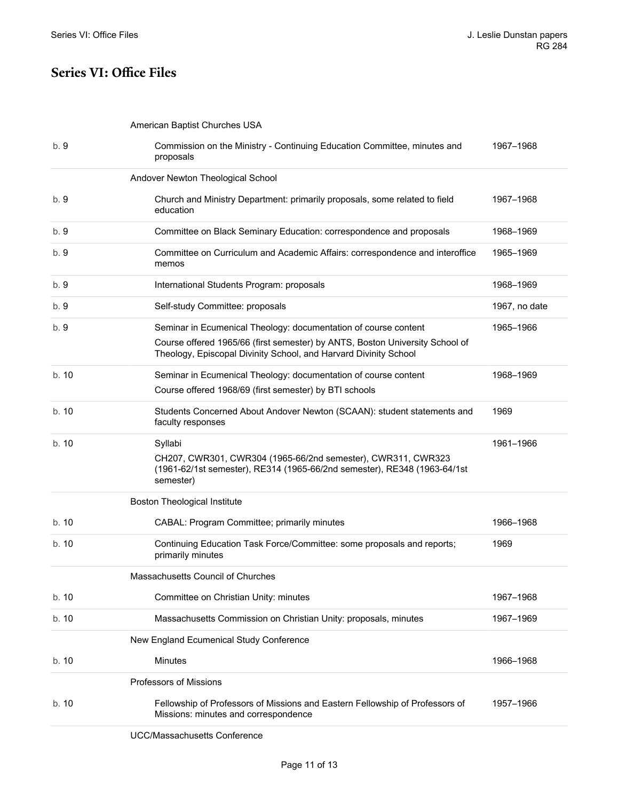#### <span id="page-10-0"></span>**Series VI: Office Files**

<span id="page-10-2"></span><span id="page-10-1"></span>American Baptist Churches USA

<span id="page-10-7"></span><span id="page-10-6"></span><span id="page-10-5"></span><span id="page-10-4"></span><span id="page-10-3"></span>

| b. 9  | Commission on the Ministry - Continuing Education Committee, minutes and<br>proposals                                                                                                                               | 1967-1968     |
|-------|---------------------------------------------------------------------------------------------------------------------------------------------------------------------------------------------------------------------|---------------|
|       | Andover Newton Theological School                                                                                                                                                                                   |               |
| b. 9  | Church and Ministry Department: primarily proposals, some related to field<br>education                                                                                                                             | 1967-1968     |
| b. 9  | Committee on Black Seminary Education: correspondence and proposals                                                                                                                                                 | 1968-1969     |
| b. 9  | Committee on Curriculum and Academic Affairs: correspondence and interoffice<br>memos                                                                                                                               | 1965-1969     |
| b. 9  | International Students Program: proposals                                                                                                                                                                           | 1968-1969     |
| b. 9  | Self-study Committee: proposals                                                                                                                                                                                     | 1967, no date |
| b. 9  | Seminar in Ecumenical Theology: documentation of course content<br>Course offered 1965/66 (first semester) by ANTS, Boston University School of<br>Theology, Episcopal Divinity School, and Harvard Divinity School | 1965-1966     |
| b.10  | Seminar in Ecumenical Theology: documentation of course content<br>Course offered 1968/69 (first semester) by BTI schools                                                                                           | 1968-1969     |
| b. 10 | Students Concerned About Andover Newton (SCAAN): student statements and<br>faculty responses                                                                                                                        | 1969          |
| b. 10 | Syllabi<br>CH207, CWR301, CWR304 (1965-66/2nd semester), CWR311, CWR323<br>(1961-62/1st semester), RE314 (1965-66/2nd semester), RE348 (1963-64/1st<br>semester)                                                    | 1961-1966     |
|       | <b>Boston Theological Institute</b>                                                                                                                                                                                 |               |
| b. 10 | CABAL: Program Committee; primarily minutes                                                                                                                                                                         | 1966-1968     |
| b. 10 | Continuing Education Task Force/Committee: some proposals and reports;<br>primarily minutes                                                                                                                         | 1969          |
|       | Massachusetts Council of Churches                                                                                                                                                                                   |               |
| b. 10 | Committee on Christian Unity: minutes                                                                                                                                                                               | 1967-1968     |
| b. 10 | Massachusetts Commission on Christian Unity: proposals, minutes                                                                                                                                                     | 1967-1969     |
|       | New England Ecumenical Study Conference                                                                                                                                                                             |               |
| b. 10 | <b>Minutes</b>                                                                                                                                                                                                      | 1966–1968     |
|       | <b>Professors of Missions</b>                                                                                                                                                                                       |               |
| b. 10 | Fellowship of Professors of Missions and Eastern Fellowship of Professors of<br>Missions: minutes and correspondence                                                                                                | 1957-1966     |
|       | <b>UCC/Massachusetts Conference</b>                                                                                                                                                                                 |               |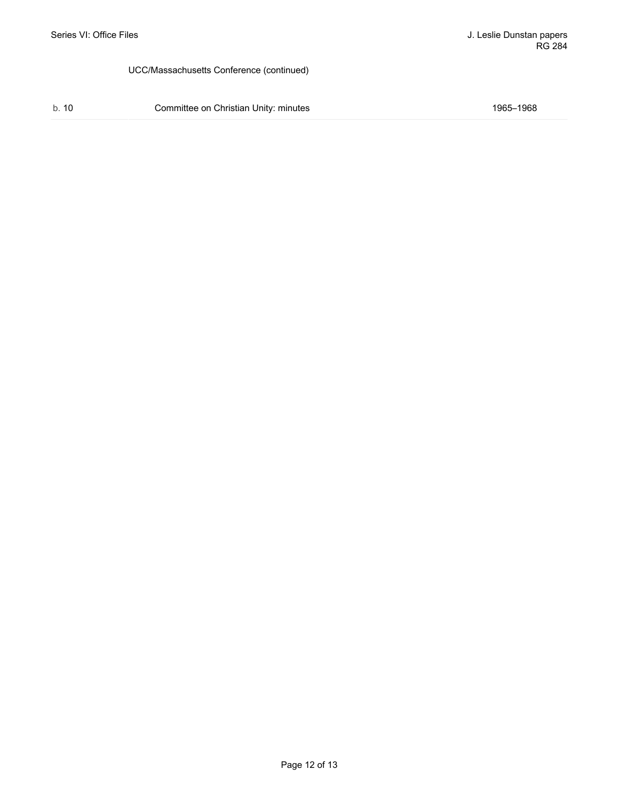#### UCC/Massachusetts Conference (continued)

b. 10 Committee on Christian Unity: minutes 1965–1968